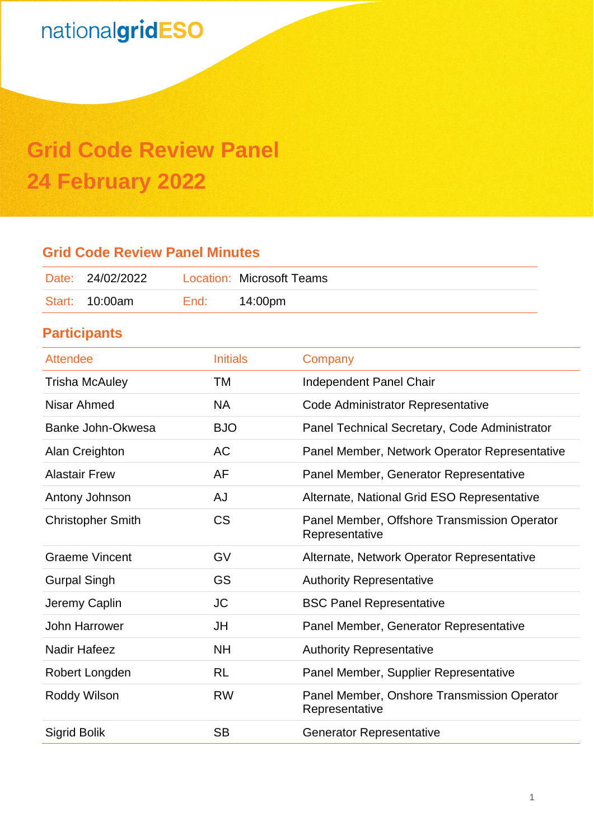# **Grid Code Review Panel 24 February 2022**

## **Grid Code Review Panel Minutes**

| Date: 24/02/2022 |      | Location: Microsoft Teams |
|------------------|------|---------------------------|
| Start: 10:00am   | End: | 14:00pm                   |

## **Participants**

| <b>Attendee</b>          | <b>Initials</b> | Company                                                        |
|--------------------------|-----------------|----------------------------------------------------------------|
| <b>Trisha McAuley</b>    | TM              | Independent Panel Chair                                        |
| Nisar Ahmed              | <b>NA</b>       | Code Administrator Representative                              |
| Banke John-Okwesa        | <b>BJO</b>      | Panel Technical Secretary, Code Administrator                  |
| Alan Creighton           | <b>AC</b>       | Panel Member, Network Operator Representative                  |
| <b>Alastair Frew</b>     | AF              | Panel Member, Generator Representative                         |
| Antony Johnson           | <b>AJ</b>       | Alternate, National Grid ESO Representative                    |
| <b>Christopher Smith</b> | <b>CS</b>       | Panel Member, Offshore Transmission Operator<br>Representative |
| <b>Graeme Vincent</b>    | GV              | Alternate, Network Operator Representative                     |
| <b>Gurpal Singh</b>      | <b>GS</b>       | <b>Authority Representative</b>                                |
| Jeremy Caplin            | <b>JC</b>       | <b>BSC Panel Representative</b>                                |
| John Harrower            | JH              | Panel Member, Generator Representative                         |
| <b>Nadir Hafeez</b>      | <b>NH</b>       | <b>Authority Representative</b>                                |
| Robert Longden           | <b>RL</b>       | Panel Member, Supplier Representative                          |
| Roddy Wilson             | <b>RW</b>       | Panel Member, Onshore Transmission Operator<br>Representative  |
| <b>Sigrid Bolik</b>      | <b>SB</b>       | <b>Generator Representative</b>                                |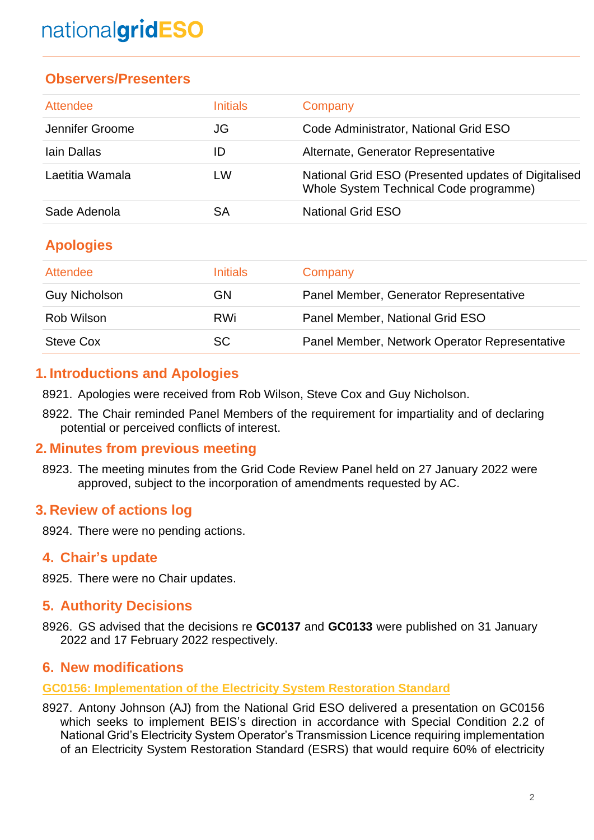## **Observers/Presenters**

| Attendee        | <u>Initials</u> | Company                                                                                       |
|-----------------|-----------------|-----------------------------------------------------------------------------------------------|
| Jennifer Groome | JG              | Code Administrator, National Grid ESO                                                         |
| Iain Dallas     | ID              | Alternate, Generator Representative                                                           |
| Laetitia Wamala | LW              | National Grid ESO (Presented updates of Digitalised<br>Whole System Technical Code programme) |
| Sade Adenola    | SА              | <b>National Grid ESO</b>                                                                      |

## **Apologies**

| Attendee             | <b>Initials</b> | Company                                       |
|----------------------|-----------------|-----------------------------------------------|
| <b>Guy Nicholson</b> | GN              | Panel Member, Generator Representative        |
| Rob Wilson           | <b>RWi</b>      | Panel Member, National Grid ESO               |
| Steve Cox            | SC              | Panel Member, Network Operator Representative |

## **1. Introductions and Apologies**

8921. Apologies were received from Rob Wilson, Steve Cox and Guy Nicholson.

8922. The Chair reminded Panel Members of the requirement for impartiality and of declaring potential or perceived conflicts of interest.

### **2. Minutes from previous meeting**

8923. The meeting minutes from the Grid Code Review Panel held on 27 January 2022 were approved, subject to the incorporation of amendments requested by AC.

### **3. Review of actions log**

8924. There were no pending actions.

### **4. Chair's update**

8925. There were no Chair updates.

### **5. Authority Decisions**

8926. GS advised that the decisions re **GC0137** and **GC0133** were published on 31 January 2022 and 17 February 2022 respectively.

#### **6. New modification[s](https://www.nationalgrideso.com/industry-information/codes/grid-code-old/modifications/gc0154incorporation-interconnector-ramping)**

**[GC0156: Implementation of the Electricity System Restoration Standard](https://www.nationalgrideso.com/industry-information/codes/grid-code-old/modifications/gc0156-implementation-electricity-system)**

8927. Antony Johnson (AJ) from the National Grid ESO delivered a presentation on GC0156 which seeks to implement BEIS's direction in accordance with Special Condition 2.2 of National Grid's Electricity System Operator's Transmission Licence requiring implementation of an Electricity System Restoration Standard (ESRS) that would require 60% of electricity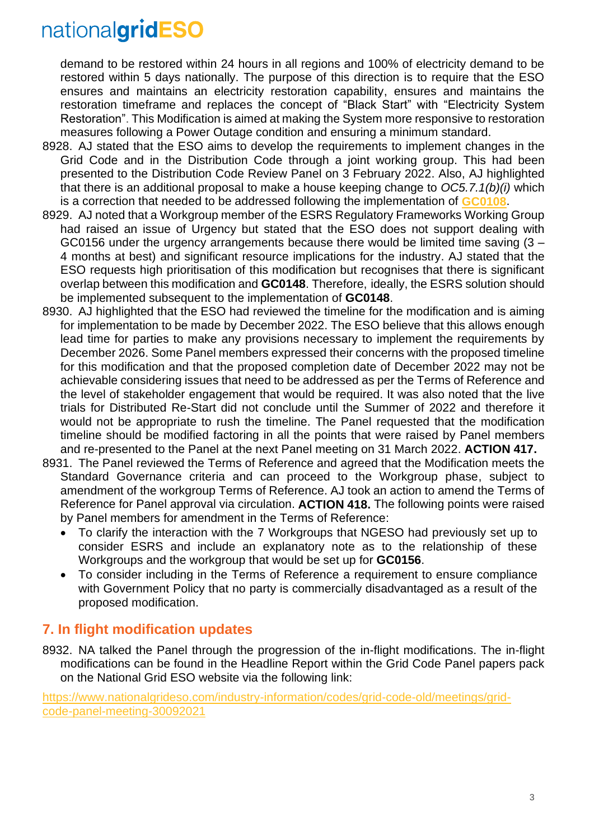demand to be restored within 24 hours in all regions and 100% of electricity demand to be restored within 5 days nationally. The purpose of this direction is to require that the ESO ensures and maintains an electricity restoration capability, ensures and maintains the restoration timeframe and replaces the concept of "Black Start" with "Electricity System Restoration". This Modification is aimed at making the System more responsive to restoration measures following a Power Outage condition and ensuring a minimum standard.

- 8928. AJ stated that the ESO aims to develop the requirements to implement changes in the Grid Code and in the Distribution Code through a joint working group. This had been presented to the Distribution Code Review Panel on 3 February 2022. Also, AJ highlighted that there is an additional proposal to make a house keeping change to *OC5.7.1(b)(i)* which is a correction that needed to be addressed following the implementation of **[GC0108](https://www.nationalgrideso.com/industry-information/codes/grid-code/modifications/gc0108-eu-code-emergency-restoration-black-start)**.
- 8929. AJ noted that a Workgroup member of the ESRS Regulatory Frameworks Working Group had raised an issue of Urgency but stated that the ESO does not support dealing with GC0156 under the urgency arrangements because there would be limited time saving  $(3 -$ 4 months at best) and significant resource implications for the industry. AJ stated that the ESO requests high prioritisation of this modification but recognises that there is significant overlap between this modification and **GC0148**. Therefore, ideally, the ESRS solution should be implemented subsequent to the implementation of **GC0148**.
- 8930. AJ highlighted that the ESO had reviewed the timeline for the modification and is aiming for implementation to be made by December 2022. The ESO believe that this allows enough lead time for parties to make any provisions necessary to implement the requirements by December 2026. Some Panel members expressed their concerns with the proposed timeline for this modification and that the proposed completion date of December 2022 may not be achievable considering issues that need to be addressed as per the Terms of Reference and the level of stakeholder engagement that would be required. It was also noted that the live trials for Distributed Re-Start did not conclude until the Summer of 2022 and therefore it would not be appropriate to rush the timeline. The Panel requested that the modification timeline should be modified factoring in all the points that were raised by Panel members and re-presented to the Panel at the next Panel meeting on 31 March 2022. **ACTION 417.**
- 8931. The Panel reviewed the Terms of Reference and agreed that the Modification meets the Standard Governance criteria and can proceed to the Workgroup phase, subject to amendment of the workgroup Terms of Reference. AJ took an action to amend the Terms of Reference for Panel approval via circulation. **ACTION 418.** The following points were raised by Panel members for amendment in the Terms of Reference:
	- To clarify the interaction with the 7 Workgroups that NGESO had previously set up to consider ESRS and include an explanatory note as to the relationship of these Workgroups and the workgroup that would be set up for **GC0156**.
	- To consider including in the Terms of Reference a requirement to ensure compliance with Government Policy that no party is commercially disadvantaged as a result of the proposed modification.

## **7. In flight modification updates**

8932. NA talked the Panel through the progression of the in-flight modifications. The in-flight modifications can be found in the Headline Report within the Grid Code Panel papers pack on the National Grid ESO website via the following link:

[https://www.nationalgrideso.com/industry-information/codes/grid-code-old/meetings/grid](https://www.nationalgrideso.com/document/244606/download)[code-panel-meeting-30092021](https://www.nationalgrideso.com/document/244606/download)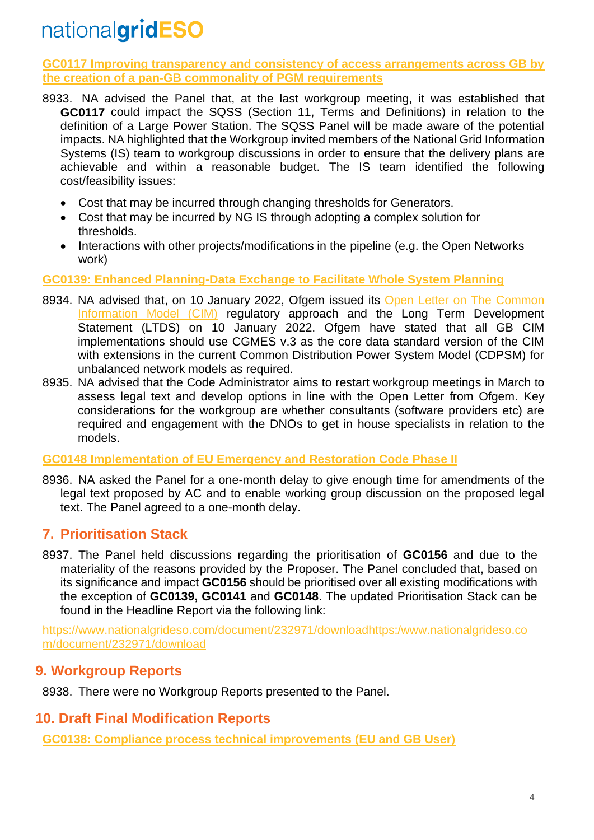**[GC0117 Improving transparency and consistency of access arrangements across GB by](https://www.nationalgrideso.com/industry-information/codes/grid-code-old/modifications/gc0117-improving-transparency-and)  the creation [of a pan-GB commonality of PGM requirements](https://www.nationalgrideso.com/industry-information/codes/grid-code-old/modifications/gc0117-improving-transparency-and)**

- 8933. NA advised the Panel that, at the last workgroup meeting, it was established that **GC0117** could impact the SQSS (Section 11, Terms and Definitions) in relation to the definition of a Large Power Station. The SQSS Panel will be made aware of the potential impacts. NA highlighted that the Workgroup invited members of the National Grid Information Systems (IS) team to workgroup discussions in order to ensure that the delivery plans are achievable and within a reasonable budget. The IS team identified the following cost/feasibility issues:
	- Cost that may be incurred through changing thresholds for Generators.
	- Cost that may be incurred by NG IS through adopting a complex solution for thresholds.
	- Interactions with other projects/modifications in the pipeline (e.g. the Open Networks work)

**[GC0139: Enhanced Planning-Data Exchange to Facilitate Whole System Planning](https://www.nationalgrideso.com/uk/electricity-transmission/industry-information/codes/grid-code-old/modifications/gc0139-enhanced-planning-data-exchange)**

- 8934. NA advised that, on 10 January 2022, Ofgem issued its [Open Letter on The Common](https://www.ofgem.gov.uk/publications/common-information-model-cim-regulatory-approach-and-long-term-development-statement)  [Information Model \(CIM\)](https://www.ofgem.gov.uk/publications/common-information-model-cim-regulatory-approach-and-long-term-development-statement) regulatory approach and the Long Term Development Statement (LTDS) on 10 January 2022. Ofgem have stated that all GB CIM implementations should use CGMES v.3 as the core data standard version of the CIM with extensions in the current Common Distribution Power System Model (CDPSM) for unbalanced network models as required.
- 8935. NA advised that the Code Administrator aims to restart workgroup meetings in March to assess legal text and develop options in line with the Open Letter from Ofgem. Key considerations for the workgroup are whether consultants (software providers etc) are required and engagement with the DNOs to get in house specialists in relation to the models.

#### **GC0148 [Implementation of EU Emergency and Restoration Code Phase II](https://www.nationalgrideso.com/uk/electricity-transmission/industry-information/codes/grid-code-old/modifications/gc0148-implementation-eu-emergency-and-0)**

8936. NA asked the Panel for a one-month delay to give enough time for amendments of the legal text proposed by AC and to enable working group discussion on the proposed legal text. The Panel agreed to a one-month delay.

### **7. Prioritisation Stack**

8937. The Panel held discussions regarding the prioritisation of **GC0156** and due to the materiality of the reasons provided by the Proposer. The Panel concluded that, based on its significance and impact **GC0156** should be prioritised over all existing modifications with the exception of **GC0139, GC0141** and **GC0148**. The updated Prioritisation Stack can be found in the Headline Report via the following link:

[https://www.nationalgrideso.com/document/232971/downloadhttps:/www.nationalgrideso.co](https://www.nationalgrideso.com/document/232971/downloadhttps:/www.nationalgrideso.com/document/232971/download) [m/document/232971/download](https://www.nationalgrideso.com/document/232971/downloadhttps:/www.nationalgrideso.com/document/232971/download)

### **9. Workgroup Reports**

8938. There were no Workgroup Reports presented to the Panel.

### **10. Draft Final Modification Reports**

**[GC0138: Compliance process technical improvements \(EU and GB User\)](https://www.nationalgrideso.com/industry-information/codes/grid-code-old/modifications/gc0138-compliance-process-technical)**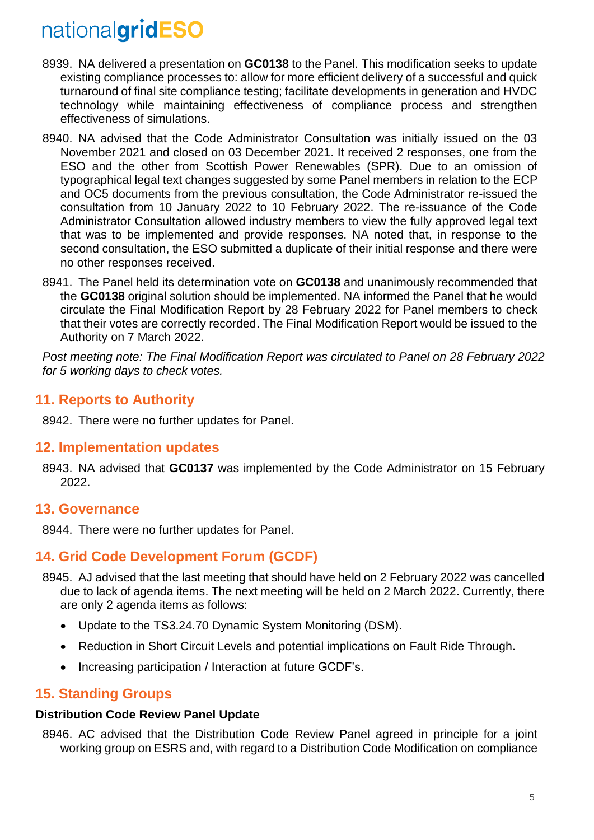- 8939. NA delivered a presentation on **GC0138** to the Panel. This modification seeks to update existing compliance processes to: allow for more efficient delivery of a successful and quick turnaround of final site compliance testing; facilitate developments in generation and HVDC technology while maintaining effectiveness of compliance process and strengthen effectiveness of simulations.
- 8940. NA advised that the Code Administrator Consultation was initially issued on the 03 November 2021 and closed on 03 December 2021. It received 2 responses, one from the ESO and the other from Scottish Power Renewables (SPR). Due to an omission of typographical legal text changes suggested by some Panel members in relation to the ECP and OC5 documents from the previous consultation, the Code Administrator re-issued the consultation from 10 January 2022 to 10 February 2022. The re-issuance of the Code Administrator Consultation allowed industry members to view the fully approved legal text that was to be implemented and provide responses. NA noted that, in response to the second consultation, the ESO submitted a duplicate of their initial response and there were no other responses received.
- 8941. The Panel held its determination vote on **GC0138** and unanimously recommended that the **GC0138** original solution should be implemented. NA informed the Panel that he would circulate the Final Modification Report by 28 February 2022 for Panel members to check that their votes are correctly recorded. The Final Modification Report would be issued to the Authority on 7 March 2022.

*Post meeting note: The Final Modification Report was circulated to Panel on 28 February 2022 for 5 working days to check votes.* 

### **11. Reports to Authority**

8942. There were no further updates for Panel.

### **12. Implementation updates**

8943. NA advised that **GC0137** was implemented by the Code Administrator on 15 February 2022.

#### **13. Governance**

8944. There were no further updates for Panel.

### **14. Grid Code Development Forum (GCDF)**

- 8945. AJ advised that the last meeting that should have held on 2 February 2022 was cancelled due to lack of agenda items. The next meeting will be held on 2 March 2022. Currently, there are only 2 agenda items as follows:
	- Update to the TS3.24.70 Dynamic System Monitoring (DSM).
	- Reduction in Short Circuit Levels and potential implications on Fault Ride Through.
	- Increasing participation / Interaction at future GCDF's.

### **15. Standing Groups**

#### **Distribution Code Review Panel Update**

8946. AC advised that the Distribution Code Review Panel agreed in principle for a joint working group on ESRS and, with regard to a Distribution Code Modification on compliance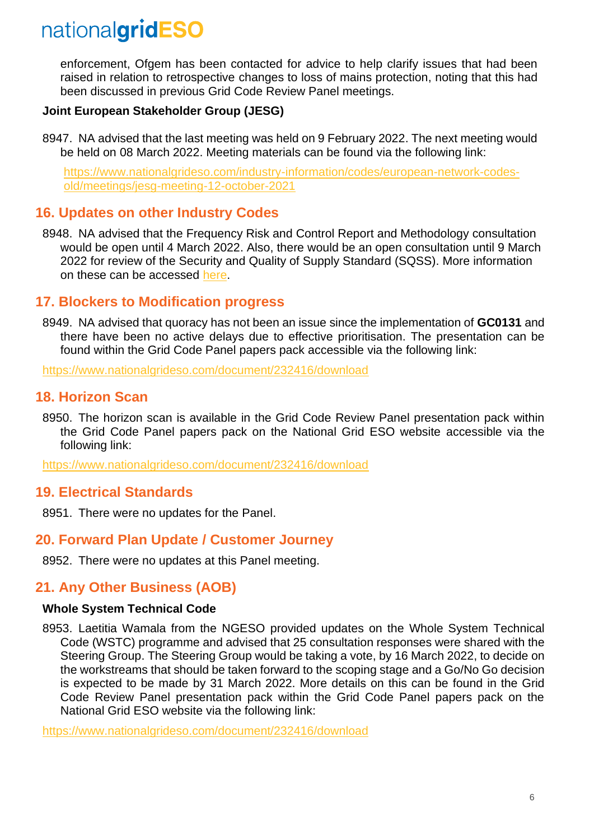enforcement, Ofgem has been contacted for advice to help clarify issues that had been raised in relation to retrospective changes to loss of mains protection, noting that this had been discussed in previous Grid Code Review Panel meetings.

#### **Joint European Stakeholder Group (JESG)**

8947. NA advised that the last meeting was held on 9 February 2022. The next meeting would be held on 08 March 2022. Meeting materials can be found via the following link:

[https://www.nationalgrideso.com/industry-information/codes/european-network-codes](https://www.nationalgrideso.com/calendar/jesg-meeting-8-march-2022)[old/meetings/jesg-meeting-12-october-2021](https://www.nationalgrideso.com/calendar/jesg-meeting-8-march-2022)

#### **16. Updates on other Industry Codes**

8948. NA advised that the Frequency Risk and Control Report and Methodology consultation would be open until 4 March 2022. Also, there would be an open consultation until 9 March 2022 for review of the Security and Quality of Supply Standard (SQSS). More information on these can be accessed [here.](https://www.nationalgrideso.com/calendar/frequency-risk-and-control-report-and-methodology-consultation)

#### **17. Blockers to Modification progress**

8949. NA advised that quoracy has not been an issue since the implementation of **GC0131** and there have been no active delays due to effective prioritisation. The presentation can be found within the Grid Code Panel papers pack accessible via the following link:

[https://www.nationalgrideso.com/document/232416/download](https://www.nationalgrideso.com/document/244106/download)

#### **18. Horizon Scan**

8950. The horizon scan is available in the Grid Code Review Panel presentation pack within the Grid Code Panel papers pack on the National Grid ESO website accessible via the following link:

<https://www.nationalgrideso.com/document/232416/download>

#### **19. Electrical Standards**

8951. There were no updates for the Panel.

#### **20. Forward Plan Update / Customer Journey**

8952. There were no updates at this Panel meeting.

### **21. Any Other Business (AOB)**

#### **Whole System Technical Code**

8953. Laetitia Wamala from the NGESO provided updates on the Whole System Technical Code (WSTC) programme and advised that 25 consultation responses were shared with the Steering Group. The Steering Group would be taking a vote, by 16 March 2022, to decide on the workstreams that should be taken forward to the scoping stage and a Go/No Go decision is expected to be made by 31 March 2022. More details on this can be found in the Grid Code Review Panel presentation pack within the Grid Code Panel papers pack on the National Grid ESO website via the following link:

<https://www.nationalgrideso.com/document/232416/download>